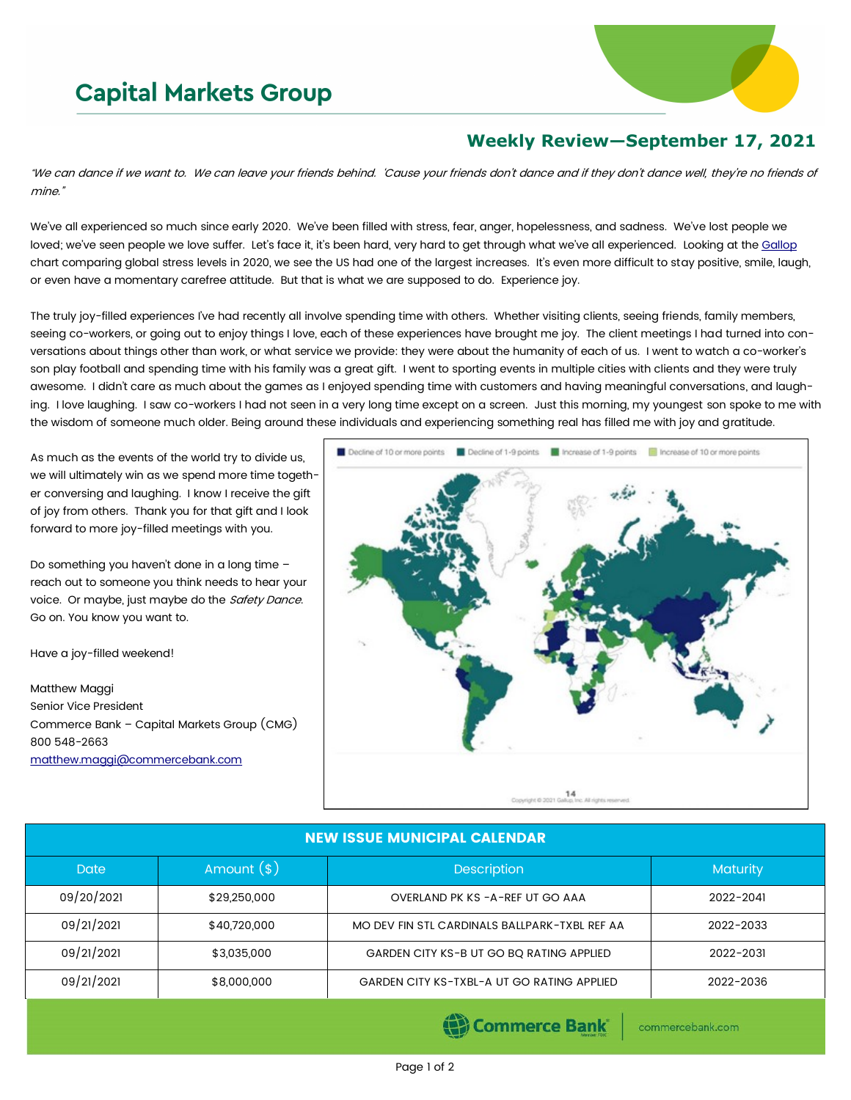# **Capital Markets Group**



# **Weekly Review—September 17, 2021**

"We can dance if we want to. We can leave your friends behind. 'Cause your friends don't dance and if they don't dance well, they're no friends of mine."

We've all experienced so much since early 2020. We've been filled with stress, fear, anger, hopelessness, and sadness. We've lost people we loved; we've seen people we love suffer. Let's face it, it's been hard, very hard to get through what we've all experienced. Looking at the [Gallop](https://www.gallup.com/analytics/324209/gallup-global-emotions-2020-report-pdf.aspx) chart comparing global stress levels in 2020, we see the US had one of the largest increases. It's even more difficult to stay positive, smile, laugh, or even have a momentary carefree attitude. But that is what we are supposed to do. Experience joy.

The truly joy-filled experiences I've had recently all involve spending time with others. Whether visiting clients, seeing friends, family members, seeing co-workers, or going out to enjoy things I love, each of these experiences have brought me joy. The client meetings I had turned into conversations about things other than work, or what service we provide: they were about the humanity of each of us. I went to watch a co-worker's son play football and spending time with his family was a great gift. I went to sporting events in multiple cities with clients and they were truly awesome. I didn't care as much about the games as I enjoyed spending time with customers and having meaningful conversations, and laughing. I love laughing. I saw co-workers I had not seen in a very long time except on a screen. Just this morning, my youngest son spoke to me with the wisdom of someone much older. Being around these individuals and experiencing something real has filled me with joy and gratitude.

As much as the events of the world try to divide us, we will ultimately win as we spend more time together conversing and laughing. I know I receive the gift of joy from others. Thank you for that gift and I look forward to more joy-filled meetings with you.

Do something you haven't done in a long time – reach out to someone you think needs to hear your voice. Or maybe, just maybe do the Safety Dance. Go on. You know you want to.

Have a joy-filled weekend!

Matthew Maggi Senior Vice President Commerce Bank – Capital Markets Group (CMG) 800 548-2663 [matthew.maggi@commercebank.com](mailto:matthew.maggi@commercebank.com)



### NEW ISSUE MUNICIPAL CALENDAR

| <b>Date</b> | Amount $(*)$ | <b>Description</b>                            | <b>Maturity</b> |  |  |
|-------------|--------------|-----------------------------------------------|-----------------|--|--|
| 09/20/2021  | \$29,250,000 | OVERLAND PK KS - A-REF UT GO AAA              | 2022-2041       |  |  |
| 09/21/2021  | \$40,720,000 | MO DEV FIN STL CARDINALS BALLPARK-TXBL REF AA | 2022-2033       |  |  |
| 09/21/2021  | \$3,035,000  | GARDEN CITY KS-B UT GO BO RATING APPLIED      | 2022-2031       |  |  |
| 09/21/2021  | \$8,000,000  | GARDEN CITY KS-TXBL-A UT GO RATING APPLIED    | 2022-2036       |  |  |

Commerce Bank

commercebank.com